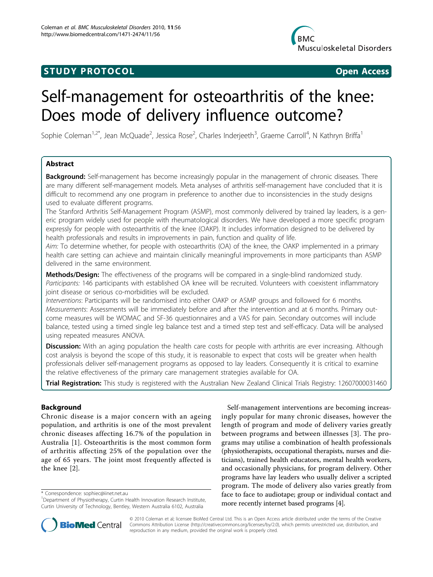## **STUDY PROTOCOL** And the state of the state of the state of the state of the state of the state of the state of the state of the state of the state of the state of the state of the state of the state of the state of the st



# Self-management for osteoarthritis of the knee: Does mode of delivery influence outcome?

Sophie Coleman<sup>1,2\*</sup>, Jean McQuade<sup>2</sup>, Jessica Rose<sup>2</sup>, Charles Inderjeeth<sup>3</sup>, Graeme Carroll<sup>4</sup>, N Kathryn Briffa<sup>1</sup>

### Abstract

**Background:** Self-management has become increasingly popular in the management of chronic diseases. There are many different self-management models. Meta analyses of arthritis self-management have concluded that it is difficult to recommend any one program in preference to another due to inconsistencies in the study designs used to evaluate different programs.

The Stanford Arthritis Self-Management Program (ASMP), most commonly delivered by trained lay leaders, is a generic program widely used for people with rheumatological disorders. We have developed a more specific program expressly for people with osteoarthritis of the knee (OAKP). It includes information designed to be delivered by health professionals and results in improvements in pain, function and quality of life.

Aim: To determine whether, for people with osteoarthritis (OA) of the knee, the OAKP implemented in a primary health care setting can achieve and maintain clinically meaningful improvements in more participants than ASMP delivered in the same environment.

Methods/Design: The effectiveness of the programs will be compared in a single-blind randomized study. Participants: 146 participants with established OA knee will be recruited. Volunteers with coexistent inflammatory joint disease or serious co-morbidities will be excluded.

Interventions: Participants will be randomised into either OAKP or ASMP groups and followed for 6 months. Measurements: Assessments will be immediately before and after the intervention and at 6 months. Primary outcome measures will be WOMAC and SF-36 questionnaires and a VAS for pain. Secondary outcomes will include balance, tested using a timed single leg balance test and a timed step test and self-efficacy. Data will be analysed using repeated measures ANOVA.

Discussion: With an aging population the health care costs for people with arthritis are ever increasing. Although cost analysis is beyond the scope of this study, it is reasonable to expect that costs will be greater when health professionals deliver self-management programs as opposed to lay leaders. Consequently it is critical to examine the relative effectiveness of the primary care management strategies available for OA.

Trial Registration: This study is registered with the Australian New Zealand Clinical Trials Registry: 12607000031460

#### Background

Chronic disease is a major concern with an ageing population, and arthritis is one of the most prevalent chronic diseases affecting 16.7% of the population in Australia [[1\]](#page-4-0). Osteoarthritis is the most common form of arthritis affecting 25% of the population over the age of 65 years. The joint most frequently affected is the knee [\[2](#page-4-0)].

\* Correspondence: [sophiec@iinet.net.au](mailto:sophiec@iinet.net.au)

Self-management interventions are becoming increasingly popular for many chronic diseases, however the length of program and mode of delivery varies greatly between programs and between illnesses [[3](#page-4-0)]. The programs may utilise a combination of health professionals (physiotherapists, occupational therapists, nurses and dieticians), trained health educators, mental health workers, and occasionally physicians, for program delivery. Other programs have lay leaders who usually deliver a scripted program. The mode of delivery also varies greatly from face to face to audiotape; group or individual contact and more recently internet based programs [\[4\]](#page-4-0).



© 2010 Coleman et al; licensee BioMed Central Ltd. This is an Open Access article distributed under the terms of the Creative Commons Attribution License [\(http://creativecommons.org/licenses/by/2.0](http://creativecommons.org/licenses/by/2.0)), which permits unrestricted use, distribution, and reproduction in any medium, provided the original work is properly cited.

<sup>&</sup>lt;sup>1</sup>Department of Physiotherapy, Curtin Health Innovation Research Institute, Curtin University of Technology, Bentley, Western Australia 6102, Australia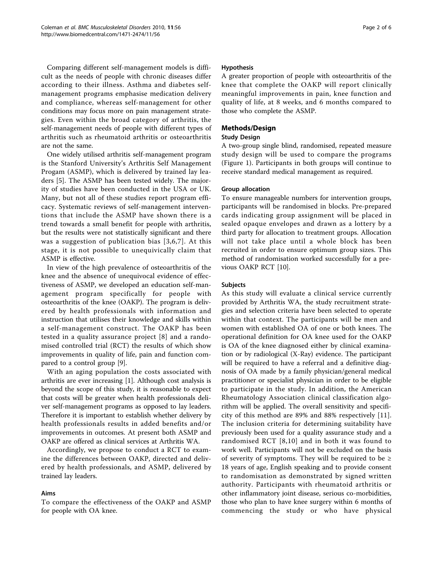Comparing different self-management models is difficult as the needs of people with chronic diseases differ according to their illness. Asthma and diabetes selfmanagement programs emphasise medication delivery and compliance, whereas self-management for other conditions may focus more on pain management strategies. Even within the broad category of arthritis, the self-management needs of people with different types of arthritis such as rheumatoid arthritis or osteoarthritis are not the same.

One widely utilised arthritis self-management program is the Stanford University's Arthritis Self Management Progam (ASMP), which is delivered by trained lay leaders [[5](#page-5-0)]. The ASMP has been tested widely. The majority of studies have been conducted in the USA or UK. Many, but not all of these studies report program efficacy. Systematic reviews of self-management interventions that include the ASMP have shown there is a trend towards a small benefit for people with arthritis, but the results were not statistically significant and there was a suggestion of publication bias [[3,](#page-4-0)[6,7\]](#page-5-0). At this stage, it is not possible to unequivically claim that ASMP is effective.

In view of the high prevalence of osteoarthritis of the knee and the absence of unequivocal evidence of effectiveness of ASMP, we developed an education self-management program specifically for people with osteoarthritis of the knee (OAKP). The program is delivered by health professionals with information and instruction that utilises their knowledge and skills within a self-management construct. The OAKP has been tested in a quality assurance project [[8](#page-5-0)] and a randomised controlled trial (RCT) the results of which show improvements in quality of life, pain and function compared to a control group [[9\]](#page-5-0).

With an aging population the costs associated with arthritis are ever increasing [\[1](#page-4-0)]. Although cost analysis is beyond the scope of this study, it is reasonable to expect that costs will be greater when health professionals deliver self-management programs as opposed to lay leaders. Therefore it is important to establish whether delivery by health professionals results in added benefits and/or improvements in outcomes. At present both ASMP and OAKP are offered as clinical services at Arthritis WA.

Accordingly, we propose to conduct a RCT to examine the differences between OAKP, directed and delivered by health professionals, and ASMP, delivered by trained lay leaders.

#### Aims

To compare the effectiveness of the OAKP and ASMP for people with OA knee.

#### Hypothesis

A greater proportion of people with osteoarthritis of the knee that complete the OAKP will report clinically meaningful improvements in pain, knee function and quality of life, at 8 weeks, and 6 months compared to those who complete the ASMP.

#### Methods/Design

#### Study Design

A two-group single blind, randomised, repeated measure study design will be used to compare the programs (Figure [1\)](#page-2-0). Participants in both groups will continue to receive standard medical management as required.

#### Group allocation

To ensure manageable numbers for intervention groups, participants will be randomised in blocks. Pre-prepared cards indicating group assignment will be placed in sealed opaque envelopes and drawn as a lottery by a third party for allocation to treatment groups. Allocation will not take place until a whole block has been recruited in order to ensure optimum group sizes. This method of randomisation worked successfully for a previous OAKP RCT [\[10](#page-5-0)].

#### Subjects

As this study will evaluate a clinical service currently provided by Arthritis WA, the study recruitment strategies and selection criteria have been selected to operate within that context. The participants will be men and women with established OA of one or both knees. The operational definition for OA knee used for the OAKP is OA of the knee diagnosed either by clinical examination or by radiological (X-Ray) evidence. The participant will be required to have a referral and a definitive diagnosis of OA made by a family physician/general medical practitioner or specialist physician in order to be eligible to participate in the study. In addition, the American Rheumatology Association clinical classification algorithm will be applied. The overall sensitivity and specificity of this method are 89% and 88% respectively [[11](#page-5-0)]. The inclusion criteria for determining suitability have previously been used for a quality assurance study and a randomised RCT [[8](#page-5-0),[10](#page-5-0)] and in both it was found to work well. Participants will not be excluded on the basis of severity of symptoms. They will be required to be  $\geq$ 18 years of age, English speaking and to provide consent to randomisation as demonstrated by signed written authority. Participants with rheumatoid arthritis or other inflammatory joint disease, serious co-morbidities, those who plan to have knee surgery within 6 months of commencing the study or who have physical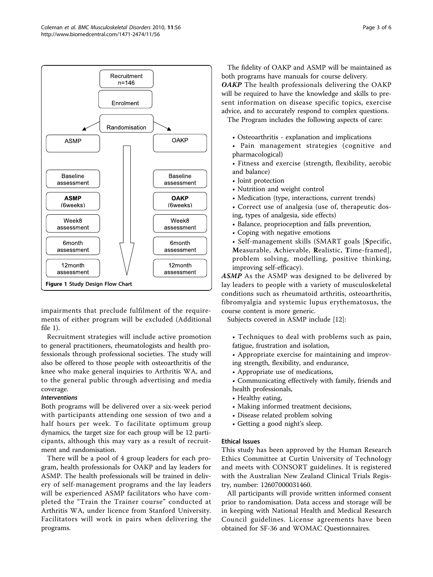<span id="page-2-0"></span>

impairments that preclude fulfilment of the requirements of either program will be excluded (Additional file [1](#page-4-0)).

Recruitment strategies will include active promotion to general practitioners, rheumatologists and health professionals through professional societies. The study will also be offered to those people with osteoarthritis of the knee who make general inquiries to Arthritis WA, and to the general public through advertising and media coverage.

#### Interventions

Both programs will be delivered over a six-week period with participants attending one session of two and a half hours per week. To facilitate optimum group dynamics, the target size for each group will be 12 participants, although this may vary as a result of recruitment and randomisation.

There will be a pool of 4 group leaders for each program, health professionals for OAKP and lay leaders for ASMP. The health professionals will be trained in delivery of self-management programs and the lay leaders will be experienced ASMP facilitators who have completed the "Train the Trainer course" conducted at Arthritis WA, under licence from Stanford University. Facilitators will work in pairs when delivering the programs.

The fidelity of OAKP and ASMP will be maintained as both programs have manuals for course delivery. OAKP The health professionals delivering the OAKP will be required to have the knowledge and skills to present information on disease specific topics, exercise advice, and to accurately respond to complex questions.

The Program includes the following aspects of care:

- Osteoarthritis explanation and implications
- Pain management strategies (cognitive and pharmacological)

• Fitness and exercise (strength, flexibility, aerobic and balance)

- Joint protection
- Nutrition and weight control
- Medication (type, interactions, current trends)

• Correct use of analgesia (use of, therapeutic dosing, types of analgesia, side effects)

- Balance, proprioception and falls prevention,
- Coping with negative emotions
- Self-management skills (SMART goals [Specific, Measurable, Achievable, Realistic, Time-framed], problem solving, modelling, positive thinking, improving self-efficacy).

ASMP As the ASMP was designed to be delivered by lay leaders to people with a variety of musculoskeletal conditions such as rheumatoid arthritis, osteoarthritis, fibromyalgia and systemic lupus erythematosus, the course content is more generic.

Subjects covered in ASMP include [\[12\]](#page-5-0):

• Techniques to deal with problems such as pain, fatigue, frustration and isolation,

• Appropriate exercise for maintaining and improving strength, flexibility, and endurance,

• Appropriate use of medications,

• Communicating effectively with family, friends and health professionals,

- Healthy eating,
- Making informed treatment decisions,
- Disease related problem solving
- Getting a good night's sleep.

#### Ethical Issues

This study has been approved by the Human Research Ethics Committee at Curtin University of Technology and meets with CONSORT guidelines. It is registered with the Australian New Zealand Clinical Trials Registry, number: 12607000031460.

All participants will provide written informed consent prior to randomisation. Data access and storage will be in keeping with National Health and Medical Research Council guidelines. License agreements have been obtained for SF-36 and WOMAC Questionnaires.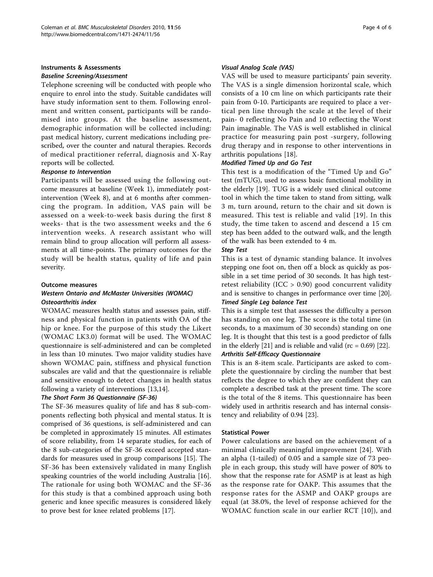#### Instruments & Assessments Baseline Screening/Assessment

Telephone screening will be conducted with people who enquire to enrol into the study. Suitable candidates will have study information sent to them. Following enrolment and written consent, participants will be randomised into groups. At the baseline assessment, demographic information will be collected including: past medical history, current medications including prescribed, over the counter and natural therapies. Records of medical practitioner referral, diagnosis and X-Ray reports will be collected.

#### Response to Intervention

Participants will be assessed using the following outcome measures at baseline (Week 1), immediately postintervention (Week 8), and at 6 months after commencing the program. In addition, VAS pain will be assessed on a week-to-week basis during the first 8 weeks- that is the two assessment weeks and the 6 intervention weeks. A research assistant who will remain blind to group allocation will perform all assessments at all time-points. The primary outcomes for the study will be health status, quality of life and pain severity.

#### Outcome measures

#### Western Ontario and McMaster Universities (WOMAC) Osteoarthritis index

WOMAC measures health status and assesses pain, stiffness and physical function in patients with OA of the hip or knee. For the purpose of this study the Likert (WOMAC LK3.0) format will be used. The WOMAC questionnaire is self-administered and can be completed in less than 10 minutes. Two major validity studies have shown WOMAC pain, stiffness and physical function subscales are valid and that the questionnaire is reliable and sensitive enough to detect changes in health status following a variety of interventions [\[13,14\]](#page-5-0).

#### The Short Form 36 Questionnaire (SF-36)

The SF-36 measures quality of life and has 8 sub-components reflecting both physical and mental status. It is comprised of 36 questions, is self-administered and can be completed in approximately 15 minutes. All estimates of score reliability, from 14 separate studies, for each of the 8 sub-categories of the SF-36 exceed accepted standards for measures used in group comparisons [\[15\]](#page-5-0). The SF-36 has been extensively validated in many English speaking countries of the world including Australia [\[16](#page-5-0)]. The rationale for using both WOMAC and the SF-36 for this study is that a combined approach using both generic and knee specific measures is considered likely to prove best for knee related problems [\[17\]](#page-5-0).

#### Visual Analog Scale (VAS)

VAS will be used to measure participants' pain severity. The VAS is a single dimension horizontal scale, which consists of a 10 cm line on which participants rate their pain from 0-10. Participants are required to place a vertical pen line through the scale at the level of their pain- 0 reflecting No Pain and 10 reflecting the Worst Pain imaginable. The VAS is well established in clinical practice for measuring pain post -surgery, following drug therapy and in response to other interventions in arthritis populations [\[18\]](#page-5-0).

#### Modified Timed Up and Go Test

This test is a modification of the "Timed Up and Go" test (mTUG), used to assess basic functional mobility in the elderly [[19\]](#page-5-0). TUG is a widely used clinical outcome tool in which the time taken to stand from sitting, walk 3 m, turn around, return to the chair and sit down is measured. This test is reliable and valid [[19](#page-5-0)]. In this study, the time taken to ascend and descend a 15 cm step has been added to the outward walk, and the length of the walk has been extended to 4 m.

#### Step Test

This is a test of dynamic standing balance. It involves stepping one foot on, then off a block as quickly as possible in a set time period of 30 seconds. It has high testretest reliability (ICC > 0.90) good concurrent validity and is sensitive to changes in performance over time [[20](#page-5-0)]. Timed Single Leg balance Test

This is a simple test that assesses the difficulty a person has standing on one leg. The score is the total time (in seconds, to a maximum of 30 seconds) standing on one leg. It is thought that this test is a good predictor of falls in the elderly  $[21]$  $[21]$  $[21]$  and is reliable and valid (rc = 0.69)  $[22]$  $[22]$  $[22]$ .

#### Arthritis Self-Efficacy Questionnaire

This is an 8-item scale. Participants are asked to complete the questionnaire by circling the number that best reflects the degree to which they are confident they can complete a described task at the present time. The score is the total of the 8 items. This questionnaire has been widely used in arthritis research and has internal consistency and reliability of 0.94 [\[23\]](#page-5-0).

#### Statistical Power

Power calculations are based on the achievement of a minimal clinically meaningful improvement [[24](#page-5-0)]. With an alpha (1-tailed) of 0.05 and a sample size of 73 people in each group, this study will have power of 80% to show that the response rate for ASMP is at least as high as the response rate for OAKP. This assumes that the response rates for the ASMP and OAKP groups are equal (at 38.0%, the level of response achieved for the WOMAC function scale in our earlier RCT [\[10\]](#page-5-0)), and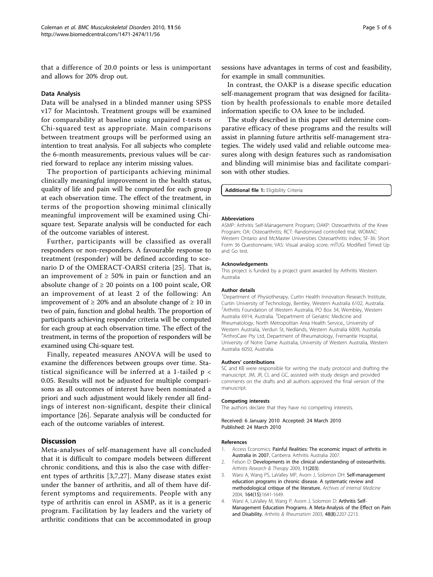<span id="page-4-0"></span>that a difference of 20.0 points or less is unimportant and allows for 20% drop out.

#### Data Analysis

Data will be analysed in a blinded manner using SPSS v17 for Macintosh. Treatment groups will be examined for comparability at baseline using unpaired t-tests or Chi-squared test as appropriate. Main comparisons between treatment groups will be performed using an intention to treat analysis. For all subjects who complete the 6-month measurements, previous values will be carried forward to replace any interim missing values.

The proportion of participants achieving minimal clinically meaningful improvement in the health status, quality of life and pain will be computed for each group at each observation time. The effect of the treatment, in terms of the proportion showing minimal clinically meaningful improvement will be examined using Chisquare test. Separate analysis will be conducted for each of the outcome variables of interest.

Further, participants will be classified as overall responders or non-responders. A favourable response to treatment (responder) will be defined according to scenario D of the OMERACT-OARSI criteria [\[25](#page-5-0)]. That is, an improvement of  $\geq 50\%$  in pain or function and an absolute change of  $\geq 20$  points on a 100 point scale, OR an improvement of at least 2 of the following: An improvement of  $\geq 20\%$  and an absolute change of  $\geq 10$  in two of pain, function and global health. The proportion of participants achieving responder criteria will be computed for each group at each observation time. The effect of the treatment, in terms of the proportion of responders will be examined using Chi-square test.

Finally, repeated measures ANOVA will be used to examine the differences between groups over time. Statistical significance will be inferred at a 1-tailed p < 0.05. Results will not be adjusted for multiple comparisons as all outcomes of interest have been nominated a priori and such adjustment would likely render all findings of interest non-significant, despite their clinical importance [[26\]](#page-5-0). Separate analysis will be conducted for each of the outcome variables of interest.

#### Discussion

Meta-analyses of self-management have all concluded that it is difficult to compare models between different chronic conditions, and this is also the case with different types of arthritis [3,[7,27](#page-5-0)]. Many disease states exist under the banner of arthritis, and all of them have different symptoms and requirements. People with any type of arthritis can enrol in ASMP, as it is a generic program. Facilitation by lay leaders and the variety of arthritic conditions that can be accommodated in group

sessions have advantages in terms of cost and feasibility, for example in small communities.

In contrast, the OAKP is a disease specific education self-management program that was designed for facilitation by health professionals to enable more detailed information specific to OA knee to be included.

The study described in this paper will determine comparative efficacy of these programs and the results will assist in planning future arthritis self-management strategies. The widely used valid and reliable outcome measures along with design features such as randomisation and blinding will minimise bias and facilitate comparison with other studies.

Additional file 1: Eligibility Criteria

#### Abbreviations

ASMP: Arthritis Self-Management Program; OAKP: Osteoarthritis of the Knee Program; OA: Osteoarthritis; RCT: Randomised controlled trial; WOMAC: Western Ontario and McMaster Universities Osteoarthritis index; SF-36: Short Form 36 Questionnaire; VAS: Visual analog score; mTUG: Modified Timed Up and Go test.

#### Acknowledgements

This project is funded by a project grant awarded by Arthritis Western Australia

#### Author details

<sup>1</sup>Department of Physiotherapy, Curtin Health Innovation Research Institute, Curtin University of Technology, Bentley, Western Australia 6102, Australia. <sup>2</sup> Arthritis Foundation of Western Australia, PO Box 34, Wembley, Western Australia 6914, Australia. <sup>3</sup>Department of Geriatric Medicine and Rheumatology, North Metropolitan Area Health Service,, University of Western Australia, Verdun St, Nedlands, Western Australia 6009, Australia. 4 ArthroCare Pty Ltd, Department of Rheumatology, Fremantle Hospital, University of Notre Dame Australia, University of Western Australia, Western Australia 6050, Australia.

#### Authors' contributions

SC and KB were responsible for writing the study protocol and drafting the manuscript. JM, JR, CI, and GC, assisted with study design and provided comments on the drafts and all authors approved the final version of the manuscript.

#### Competing interests

The authors declare that they have no competing interests.

Received: 6 January 2010 Accepted: 24 March 2010 Published: 24 March 2010

#### References

- 1. Access Economics: Painful Realities: The economic impact of arthritis in Australia in 2007. Canberra: Arthritis Australia 2007.
- 2. Felson D: Developments in the clinical understanding of osteoarthritis. Arthritis Research & Therapy 2009, 11(203).
- 3. Warsi A, Wang PS, LaValley MP, Avorn J, Solomon DH: [Self-management](http://www.ncbi.nlm.nih.gov/pubmed/15302634?dopt=Abstract) [education programs in chronic disease. A systematic review and](http://www.ncbi.nlm.nih.gov/pubmed/15302634?dopt=Abstract) [methodological critique of the literature.](http://www.ncbi.nlm.nih.gov/pubmed/15302634?dopt=Abstract) Archives of Internal Medicine 2004, 164(15):1641-1649.
- 4. Warsi A, LaValley M, Wang P, Avorn J, Solomon D: Arthritis Self-Management Education Programs. A Meta-Analysis of the Effect on Pain and Disability. Arthritis & Rheumatism 2003, 48(8):2207-2213.